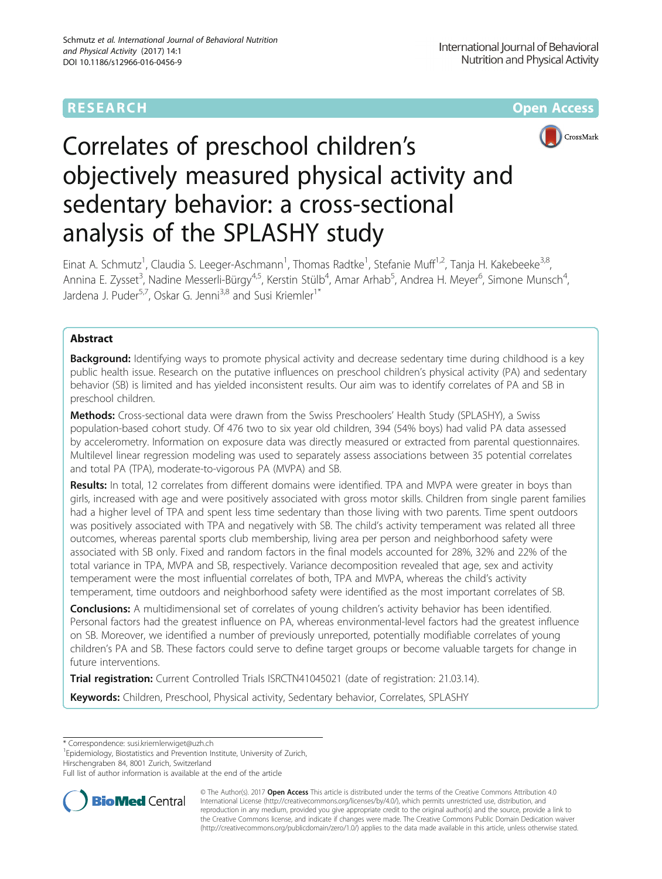# **RESEARCH CHEAR CHEAR CHEAR CHEAR CHEAR CHEAR CHEAR CHEAR CHEAR CHEAR CHEAR CHEAR CHEAR CHEAR CHEAR CHEAR CHEAR**



# Correlates of preschool children's objectively measured physical activity and sedentary behavior: a cross-sectional analysis of the SPLASHY study

Einat A. Schmutz<sup>1</sup>, Claudia S. Leeger-Aschmann<sup>1</sup>, Thomas Radtke<sup>1</sup>, Stefanie Muff<sup>1,2</sup>, Tanja H. Kakebeeke<sup>3,8</sup>, Annina E. Zysset<sup>3</sup>, Nadine Messerli-Bürgy<sup>4,5</sup>, Kerstin Stülb<sup>4</sup>, Amar Arhab<sup>5</sup>, Andrea H. Meyer<sup>6</sup>, Simone Munsch<sup>4</sup> , Jardena J. Puder<sup>5,7</sup>, Oskar G. Jenni<sup>3,8</sup> and Susi Kriemler<sup>1\*</sup>

# Abstract

**Background:** Identifying ways to promote physical activity and decrease sedentary time during childhood is a key public health issue. Research on the putative influences on preschool children's physical activity (PA) and sedentary behavior (SB) is limited and has yielded inconsistent results. Our aim was to identify correlates of PA and SB in preschool children.

Methods: Cross-sectional data were drawn from the Swiss Preschoolers' Health Study (SPLASHY), a Swiss population-based cohort study. Of 476 two to six year old children, 394 (54% boys) had valid PA data assessed by accelerometry. Information on exposure data was directly measured or extracted from parental questionnaires. Multilevel linear regression modeling was used to separately assess associations between 35 potential correlates and total PA (TPA), moderate-to-vigorous PA (MVPA) and SB.

Results: In total, 12 correlates from different domains were identified. TPA and MVPA were greater in boys than girls, increased with age and were positively associated with gross motor skills. Children from single parent families had a higher level of TPA and spent less time sedentary than those living with two parents. Time spent outdoors was positively associated with TPA and negatively with SB. The child's activity temperament was related all three outcomes, whereas parental sports club membership, living area per person and neighborhood safety were associated with SB only. Fixed and random factors in the final models accounted for 28%, 32% and 22% of the total variance in TPA, MVPA and SB, respectively. Variance decomposition revealed that age, sex and activity temperament were the most influential correlates of both, TPA and MVPA, whereas the child's activity temperament, time outdoors and neighborhood safety were identified as the most important correlates of SB.

**Conclusions:** A multidimensional set of correlates of young children's activity behavior has been identified. Personal factors had the greatest influence on PA, whereas environmental-level factors had the greatest influence on SB. Moreover, we identified a number of previously unreported, potentially modifiable correlates of young children's PA and SB. These factors could serve to define target groups or become valuable targets for change in future interventions.

Trial registration: Current Controlled Trials [ISRCTN41045021](http://www.isrctn.com/ISRCTN41045021) (date of registration: 21.03.14).

Keywords: Children, Preschool, Physical activity, Sedentary behavior, Correlates, SPLASHY

\* Correspondence: [susi.kriemlerwiget@uzh.ch](mailto:susi.kriemlerwiget@uzh.ch) <sup>1</sup>

<sup>1</sup> Epidemiology, Biostatistics and Prevention Institute, University of Zurich, Hirschengraben 84, 8001 Zurich, Switzerland

Full list of author information is available at the end of the article



© The Author(s). 2017 **Open Access** This article is distributed under the terms of the Creative Commons Attribution 4.0 International License [\(http://creativecommons.org/licenses/by/4.0/](http://creativecommons.org/licenses/by/4.0/)), which permits unrestricted use, distribution, and reproduction in any medium, provided you give appropriate credit to the original author(s) and the source, provide a link to the Creative Commons license, and indicate if changes were made. The Creative Commons Public Domain Dedication waiver [\(http://creativecommons.org/publicdomain/zero/1.0/](http://creativecommons.org/publicdomain/zero/1.0/)) applies to the data made available in this article, unless otherwise stated.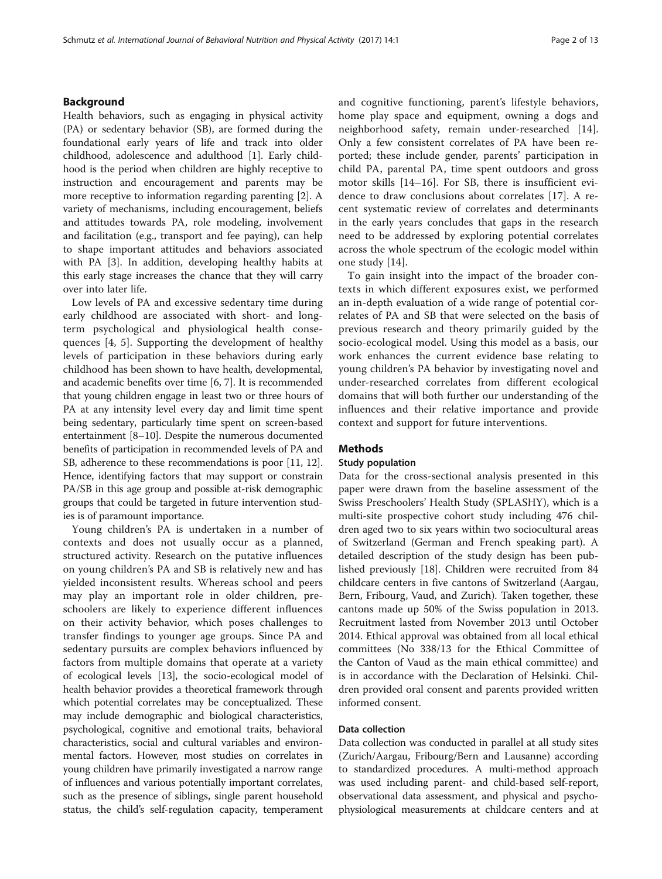# Background

Health behaviors, such as engaging in physical activity (PA) or sedentary behavior (SB), are formed during the foundational early years of life and track into older childhood, adolescence and adulthood [[1\]](#page-10-0). Early childhood is the period when children are highly receptive to instruction and encouragement and parents may be more receptive to information regarding parenting [\[2](#page-10-0)]. A variety of mechanisms, including encouragement, beliefs and attitudes towards PA, role modeling, involvement and facilitation (e.g., transport and fee paying), can help to shape important attitudes and behaviors associated with PA [[3\]](#page-10-0). In addition, developing healthy habits at this early stage increases the chance that they will carry over into later life.

Low levels of PA and excessive sedentary time during early childhood are associated with short- and longterm psychological and physiological health consequences [\[4](#page-10-0), [5\]](#page-11-0). Supporting the development of healthy levels of participation in these behaviors during early childhood has been shown to have health, developmental, and academic benefits over time [\[6](#page-11-0), [7\]](#page-11-0). It is recommended that young children engage in least two or three hours of PA at any intensity level every day and limit time spent being sedentary, particularly time spent on screen-based entertainment [[8](#page-11-0)–[10\]](#page-11-0). Despite the numerous documented benefits of participation in recommended levels of PA and SB, adherence to these recommendations is poor [[11, 12](#page-11-0)]. Hence, identifying factors that may support or constrain PA/SB in this age group and possible at-risk demographic groups that could be targeted in future intervention studies is of paramount importance.

Young children's PA is undertaken in a number of contexts and does not usually occur as a planned, structured activity. Research on the putative influences on young children's PA and SB is relatively new and has yielded inconsistent results. Whereas school and peers may play an important role in older children, preschoolers are likely to experience different influences on their activity behavior, which poses challenges to transfer findings to younger age groups. Since PA and sedentary pursuits are complex behaviors influenced by factors from multiple domains that operate at a variety of ecological levels [\[13\]](#page-11-0), the socio-ecological model of health behavior provides a theoretical framework through which potential correlates may be conceptualized. These may include demographic and biological characteristics, psychological, cognitive and emotional traits, behavioral characteristics, social and cultural variables and environmental factors. However, most studies on correlates in young children have primarily investigated a narrow range of influences and various potentially important correlates, such as the presence of siblings, single parent household status, the child's self-regulation capacity, temperament and cognitive functioning, parent's lifestyle behaviors, home play space and equipment, owning a dogs and neighborhood safety, remain under-researched [\[14](#page-11-0)]. Only a few consistent correlates of PA have been reported; these include gender, parents' participation in child PA, parental PA, time spent outdoors and gross motor skills [\[14](#page-11-0)–[16](#page-11-0)]. For SB, there is insufficient evidence to draw conclusions about correlates [[17\]](#page-11-0). A recent systematic review of correlates and determinants in the early years concludes that gaps in the research need to be addressed by exploring potential correlates across the whole spectrum of the ecologic model within one study [\[14](#page-11-0)].

To gain insight into the impact of the broader contexts in which different exposures exist, we performed an in-depth evaluation of a wide range of potential correlates of PA and SB that were selected on the basis of previous research and theory primarily guided by the socio-ecological model. Using this model as a basis, our work enhances the current evidence base relating to young children's PA behavior by investigating novel and under-researched correlates from different ecological domains that will both further our understanding of the influences and their relative importance and provide context and support for future interventions.

# **Methods**

# Study population

Data for the cross-sectional analysis presented in this paper were drawn from the baseline assessment of the Swiss Preschoolers' Health Study (SPLASHY), which is a multi-site prospective cohort study including 476 children aged two to six years within two sociocultural areas of Switzerland (German and French speaking part). A detailed description of the study design has been published previously [\[18](#page-11-0)]. Children were recruited from 84 childcare centers in five cantons of Switzerland (Aargau, Bern, Fribourg, Vaud, and Zurich). Taken together, these cantons made up 50% of the Swiss population in 2013. Recruitment lasted from November 2013 until October 2014. Ethical approval was obtained from all local ethical committees (No 338/13 for the Ethical Committee of the Canton of Vaud as the main ethical committee) and is in accordance with the Declaration of Helsinki. Children provided oral consent and parents provided written informed consent.

# Data collection

Data collection was conducted in parallel at all study sites (Zurich/Aargau, Fribourg/Bern and Lausanne) according to standardized procedures. A multi-method approach was used including parent- and child-based self-report, observational data assessment, and physical and psychophysiological measurements at childcare centers and at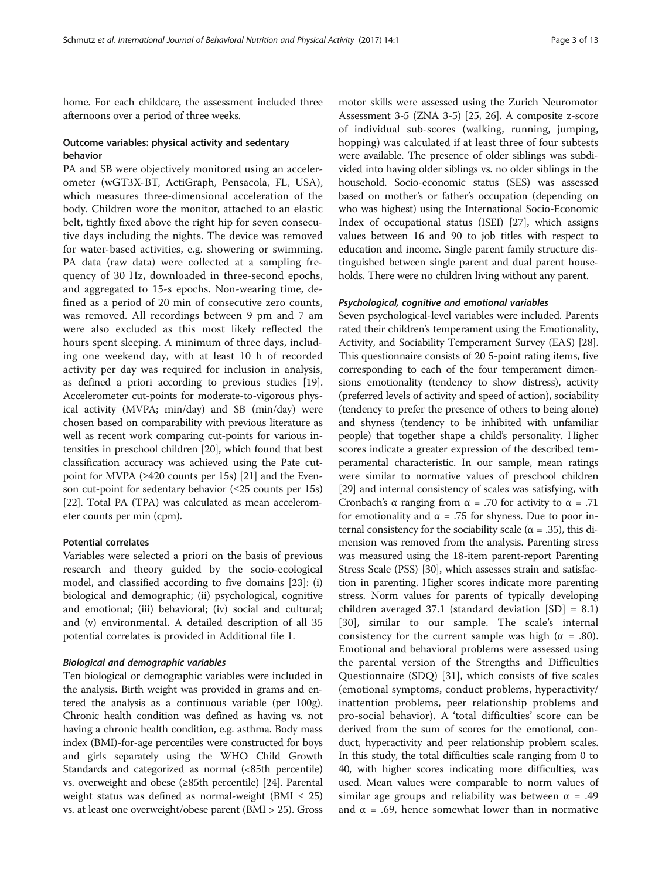home. For each childcare, the assessment included three afternoons over a period of three weeks.

# Outcome variables: physical activity and sedentary behavior

PA and SB were objectively monitored using an accelerometer (wGT3X-BT, ActiGraph, Pensacola, FL, USA), which measures three-dimensional acceleration of the body. Children wore the monitor, attached to an elastic belt, tightly fixed above the right hip for seven consecutive days including the nights. The device was removed for water-based activities, e.g. showering or swimming. PA data (raw data) were collected at a sampling frequency of 30 Hz, downloaded in three-second epochs, and aggregated to 15-s epochs. Non-wearing time, defined as a period of 20 min of consecutive zero counts, was removed. All recordings between 9 pm and 7 am were also excluded as this most likely reflected the hours spent sleeping. A minimum of three days, including one weekend day, with at least 10 h of recorded activity per day was required for inclusion in analysis, as defined a priori according to previous studies [[19](#page-11-0)]. Accelerometer cut-points for moderate-to-vigorous physical activity (MVPA; min/day) and SB (min/day) were chosen based on comparability with previous literature as well as recent work comparing cut-points for various intensities in preschool children [\[20\]](#page-11-0), which found that best classification accuracy was achieved using the Pate cutpoint for MVPA ( $\geq$ 420 counts per 15s) [[21\]](#page-11-0) and the Evenson cut-point for sedentary behavior  $(\leq 25$  counts per 15s) [[22](#page-11-0)]. Total PA (TPA) was calculated as mean accelerometer counts per min (cpm).

# Potential correlates

Variables were selected a priori on the basis of previous research and theory guided by the socio-ecological model, and classified according to five domains [[23\]](#page-11-0): (i) biological and demographic; (ii) psychological, cognitive and emotional; (iii) behavioral; (iv) social and cultural; and (v) environmental. A detailed description of all 35 potential correlates is provided in Additional file [1.](#page-10-0)

## Biological and demographic variables

Ten biological or demographic variables were included in the analysis. Birth weight was provided in grams and entered the analysis as a continuous variable (per 100g). Chronic health condition was defined as having vs. not having a chronic health condition, e.g. asthma. Body mass index (BMI)-for-age percentiles were constructed for boys and girls separately using the WHO Child Growth Standards and categorized as normal (<85th percentile) vs. overweight and obese (≥85th percentile) [[24](#page-11-0)]. Parental weight status was defined as normal-weight (BMI  $\leq$  25) vs. at least one overweight/obese parent (BMI > 25). Gross

motor skills were assessed using the Zurich Neuromotor Assessment 3-5 (ZNA 3-5) [\[25](#page-11-0), [26](#page-11-0)]. A composite z-score of individual sub-scores (walking, running, jumping, hopping) was calculated if at least three of four subtests were available. The presence of older siblings was subdivided into having older siblings vs. no older siblings in the household. Socio-economic status (SES) was assessed based on mother's or father's occupation (depending on who was highest) using the International Socio-Economic Index of occupational status (ISEI) [\[27](#page-11-0)], which assigns values between 16 and 90 to job titles with respect to education and income. Single parent family structure distinguished between single parent and dual parent households. There were no children living without any parent.

# Psychological, cognitive and emotional variables

Seven psychological-level variables were included. Parents rated their children's temperament using the Emotionality, Activity, and Sociability Temperament Survey (EAS) [[28](#page-11-0)]. This questionnaire consists of 20 5-point rating items, five corresponding to each of the four temperament dimensions emotionality (tendency to show distress), activity (preferred levels of activity and speed of action), sociability (tendency to prefer the presence of others to being alone) and shyness (tendency to be inhibited with unfamiliar people) that together shape a child's personality. Higher scores indicate a greater expression of the described temperamental characteristic. In our sample, mean ratings were similar to normative values of preschool children [[29](#page-11-0)] and internal consistency of scales was satisfying, with Cronbach's α ranging from  $\alpha$  = .70 for activity to  $\alpha$  = .71 for emotionality and  $\alpha = .75$  for shyness. Due to poor internal consistency for the sociability scale ( $\alpha$  = .35), this dimension was removed from the analysis. Parenting stress was measured using the 18-item parent-report Parenting Stress Scale (PSS) [[30](#page-11-0)], which assesses strain and satisfaction in parenting. Higher scores indicate more parenting stress. Norm values for parents of typically developing children averaged 37.1 (standard deviation [SD] = 8.1) [[30\]](#page-11-0), similar to our sample. The scale's internal consistency for the current sample was high ( $\alpha = .80$ ). Emotional and behavioral problems were assessed using the parental version of the Strengths and Difficulties Questionnaire (SDQ) [[31\]](#page-11-0), which consists of five scales (emotional symptoms, conduct problems, hyperactivity/ inattention problems, peer relationship problems and pro-social behavior). A 'total difficulties' score can be derived from the sum of scores for the emotional, conduct, hyperactivity and peer relationship problem scales. In this study, the total difficulties scale ranging from 0 to 40, with higher scores indicating more difficulties, was used. Mean values were comparable to norm values of similar age groups and reliability was between  $\alpha = .49$ and  $\alpha = .69$ , hence somewhat lower than in normative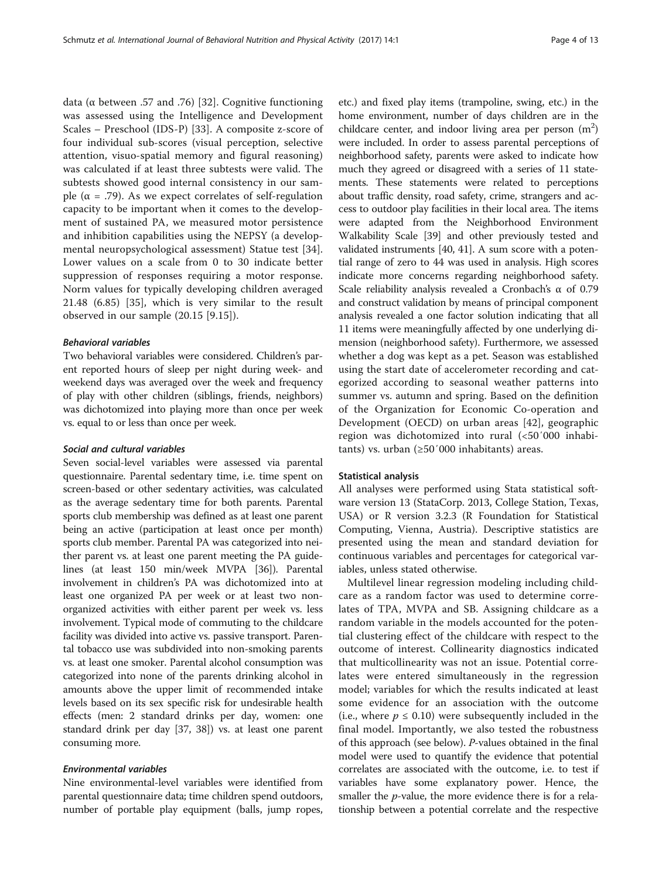data (α between .57 and .76) [\[32](#page-11-0)]. Cognitive functioning was assessed using the Intelligence and Development Scales – Preschool (IDS-P) [[33\]](#page-11-0). A composite z-score of four individual sub-scores (visual perception, selective attention, visuo-spatial memory and figural reasoning) was calculated if at least three subtests were valid. The subtests showed good internal consistency in our sample ( $\alpha$  = .79). As we expect correlates of self-regulation capacity to be important when it comes to the development of sustained PA, we measured motor persistence and inhibition capabilities using the NEPSY (a developmental neuropsychological assessment) Statue test [\[34](#page-11-0)]. Lower values on a scale from 0 to 30 indicate better suppression of responses requiring a motor response. Norm values for typically developing children averaged 21.48 (6.85) [\[35](#page-11-0)], which is very similar to the result observed in our sample (20.15 [9.15]).

# Behavioral variables

Two behavioral variables were considered. Children's parent reported hours of sleep per night during week- and weekend days was averaged over the week and frequency of play with other children (siblings, friends, neighbors) was dichotomized into playing more than once per week vs. equal to or less than once per week.

# Social and cultural variables

Seven social-level variables were assessed via parental questionnaire. Parental sedentary time, i.e. time spent on screen-based or other sedentary activities, was calculated as the average sedentary time for both parents. Parental sports club membership was defined as at least one parent being an active (participation at least once per month) sports club member. Parental PA was categorized into neither parent vs. at least one parent meeting the PA guidelines (at least 150 min/week MVPA [\[36](#page-11-0)]). Parental involvement in children's PA was dichotomized into at least one organized PA per week or at least two nonorganized activities with either parent per week vs. less involvement. Typical mode of commuting to the childcare facility was divided into active vs. passive transport. Parental tobacco use was subdivided into non-smoking parents vs. at least one smoker. Parental alcohol consumption was categorized into none of the parents drinking alcohol in amounts above the upper limit of recommended intake levels based on its sex specific risk for undesirable health effects (men: 2 standard drinks per day, women: one standard drink per day [\[37, 38](#page-11-0)]) vs. at least one parent consuming more.

# Environmental variables

Nine environmental-level variables were identified from parental questionnaire data; time children spend outdoors, number of portable play equipment (balls, jump ropes, etc.) and fixed play items (trampoline, swing, etc.) in the home environment, number of days children are in the childcare center, and indoor living area per person  $(m^2)$ were included. In order to assess parental perceptions of neighborhood safety, parents were asked to indicate how much they agreed or disagreed with a series of 11 statements. These statements were related to perceptions about traffic density, road safety, crime, strangers and access to outdoor play facilities in their local area. The items were adapted from the Neighborhood Environment Walkability Scale [\[39\]](#page-11-0) and other previously tested and validated instruments [[40](#page-11-0), [41\]](#page-11-0). A sum score with a potential range of zero to 44 was used in analysis. High scores indicate more concerns regarding neighborhood safety. Scale reliability analysis revealed a Cronbach's α of 0.79 and construct validation by means of principal component analysis revealed a one factor solution indicating that all 11 items were meaningfully affected by one underlying dimension (neighborhood safety). Furthermore, we assessed whether a dog was kept as a pet. Season was established using the start date of accelerometer recording and categorized according to seasonal weather patterns into summer vs. autumn and spring. Based on the definition of the Organization for Economic Co-operation and Development (OECD) on urban areas [[42\]](#page-11-0), geographic region was dichotomized into rural (<50′000 inhabitants) vs. urban (≥50′000 inhabitants) areas.

## Statistical analysis

All analyses were performed using Stata statistical software version 13 (StataCorp. 2013, College Station, Texas, USA) or R version 3.2.3 (R Foundation for Statistical Computing, Vienna, Austria). Descriptive statistics are presented using the mean and standard deviation for continuous variables and percentages for categorical variables, unless stated otherwise.

Multilevel linear regression modeling including childcare as a random factor was used to determine correlates of TPA, MVPA and SB. Assigning childcare as a random variable in the models accounted for the potential clustering effect of the childcare with respect to the outcome of interest. Collinearity diagnostics indicated that multicollinearity was not an issue. Potential correlates were entered simultaneously in the regression model; variables for which the results indicated at least some evidence for an association with the outcome (i.e., where  $p \leq 0.10$ ) were subsequently included in the final model. Importantly, we also tested the robustness of this approach (see below). P-values obtained in the final model were used to quantify the evidence that potential correlates are associated with the outcome, i.e. to test if variables have some explanatory power. Hence, the smaller the *p*-value, the more evidence there is for a relationship between a potential correlate and the respective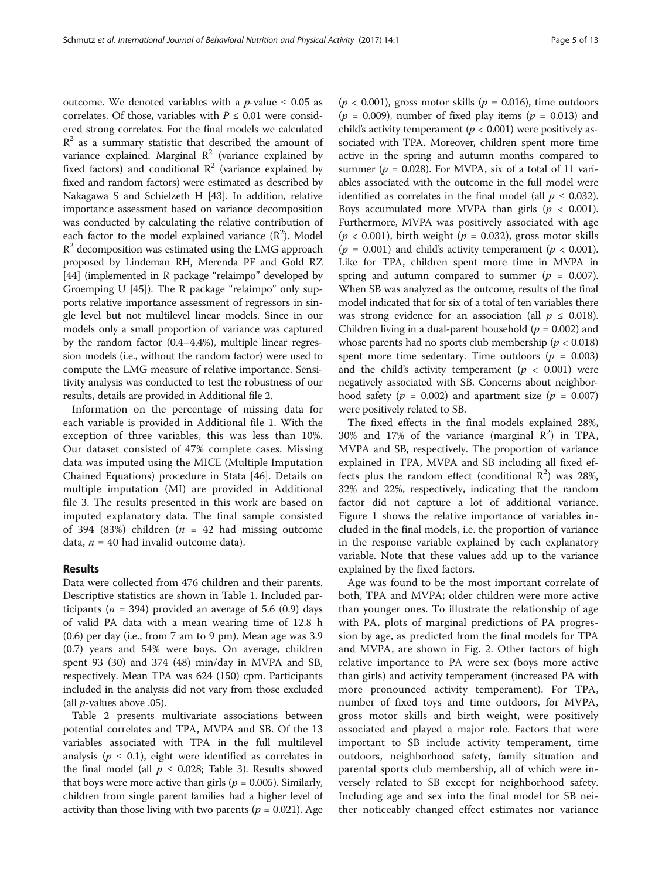outcome. We denoted variables with a  $p$ -value  $\leq 0.05$  as correlates. Of those, variables with  $P \leq 0.01$  were considered strong correlates. For the final models we calculated  $R<sup>2</sup>$  as a summary statistic that described the amount of variance explained. Marginal  $\mathbb{R}^2$  (variance explained by fixed factors) and conditional  $\mathbb{R}^2$  (variance explained by fixed and random factors) were estimated as described by Nakagawa S and Schielzeth H [\[43\]](#page-11-0). In addition, relative importance assessment based on variance decomposition was conducted by calculating the relative contribution of each factor to the model explained variance  $(R^2)$ . Model  $R<sup>2</sup>$  decomposition was estimated using the LMG approach proposed by Lindeman RH, Merenda PF and Gold RZ [[44](#page-11-0)] (implemented in R package "relaimpo" developed by Groemping U [[45\]](#page-11-0)). The R package "relaimpo" only supports relative importance assessment of regressors in single level but not multilevel linear models. Since in our models only a small proportion of variance was captured by the random factor (0.4–4.4%), multiple linear regression models (i.e., without the random factor) were used to compute the LMG measure of relative importance. Sensitivity analysis was conducted to test the robustness of our results, details are provided in Additional file [2](#page-10-0).

Information on the percentage of missing data for each variable is provided in Additional file [1.](#page-10-0) With the exception of three variables, this was less than 10%. Our dataset consisted of 47% complete cases. Missing data was imputed using the MICE (Multiple Imputation Chained Equations) procedure in Stata [\[46](#page-11-0)]. Details on multiple imputation (MI) are provided in Additional file [3](#page-10-0). The results presented in this work are based on imputed explanatory data. The final sample consisted of 394 (83%) children ( $n = 42$  had missing outcome data,  $n = 40$  had invalid outcome data).

# Results

Data were collected from 476 children and their parents. Descriptive statistics are shown in Table [1.](#page-5-0) Included participants ( $n = 394$ ) provided an average of 5.6 (0.9) days of valid PA data with a mean wearing time of 12.8 h (0.6) per day (i.e., from 7 am to 9 pm). Mean age was 3.9 (0.7) years and 54% were boys. On average, children spent 93 (30) and 374 (48) min/day in MVPA and SB, respectively. Mean TPA was 624 (150) cpm. Participants included in the analysis did not vary from those excluded (all  $p$ -values above .05).

Table [2](#page-6-0) presents multivariate associations between potential correlates and TPA, MVPA and SB. Of the 13 variables associated with TPA in the full multilevel analysis ( $p \leq 0.1$ ), eight were identified as correlates in the final model (all  $p \leq 0.028$ ; Table [3](#page-7-0)). Results showed that boys were more active than girls ( $p = 0.005$ ). Similarly, children from single parent families had a higher level of activity than those living with two parents ( $p = 0.021$ ). Age

 $(p < 0.001)$ , gross motor skills  $(p = 0.016)$ , time outdoors  $(p = 0.009)$ , number of fixed play items  $(p = 0.013)$  and child's activity temperament ( $p < 0.001$ ) were positively associated with TPA. Moreover, children spent more time active in the spring and autumn months compared to summer ( $p = 0.028$ ). For MVPA, six of a total of 11 variables associated with the outcome in the full model were identified as correlates in the final model (all  $p \leq 0.032$ ). Boys accumulated more MVPA than girls ( $p < 0.001$ ). Furthermore, MVPA was positively associated with age  $(p < 0.001)$ , birth weight  $(p = 0.032)$ , gross motor skills ( $p = 0.001$ ) and child's activity temperament ( $p < 0.001$ ). Like for TPA, children spent more time in MVPA in spring and autumn compared to summer ( $p = 0.007$ ). When SB was analyzed as the outcome, results of the final model indicated that for six of a total of ten variables there was strong evidence for an association (all  $p \leq 0.018$ ). Children living in a dual-parent household ( $p = 0.002$ ) and whose parents had no sports club membership ( $p < 0.018$ ) spent more time sedentary. Time outdoors ( $p = 0.003$ ) and the child's activity temperament ( $p < 0.001$ ) were negatively associated with SB. Concerns about neighborhood safety ( $p = 0.002$ ) and apartment size ( $p = 0.007$ ) were positively related to SB.

The fixed effects in the final models explained 28%, 30% and 17% of the variance (marginal  $R^2$ ) in TPA, MVPA and SB, respectively. The proportion of variance explained in TPA, MVPA and SB including all fixed effects plus the random effect (conditional  $R^2$ ) was 28%, 32% and 22%, respectively, indicating that the random factor did not capture a lot of additional variance. Figure [1](#page-8-0) shows the relative importance of variables included in the final models, i.e. the proportion of variance in the response variable explained by each explanatory variable. Note that these values add up to the variance explained by the fixed factors.

Age was found to be the most important correlate of both, TPA and MVPA; older children were more active than younger ones. To illustrate the relationship of age with PA, plots of marginal predictions of PA progression by age, as predicted from the final models for TPA and MVPA, are shown in Fig. [2.](#page-9-0) Other factors of high relative importance to PA were sex (boys more active than girls) and activity temperament (increased PA with more pronounced activity temperament). For TPA, number of fixed toys and time outdoors, for MVPA, gross motor skills and birth weight, were positively associated and played a major role. Factors that were important to SB include activity temperament, time outdoors, neighborhood safety, family situation and parental sports club membership, all of which were inversely related to SB except for neighborhood safety. Including age and sex into the final model for SB neither noticeably changed effect estimates nor variance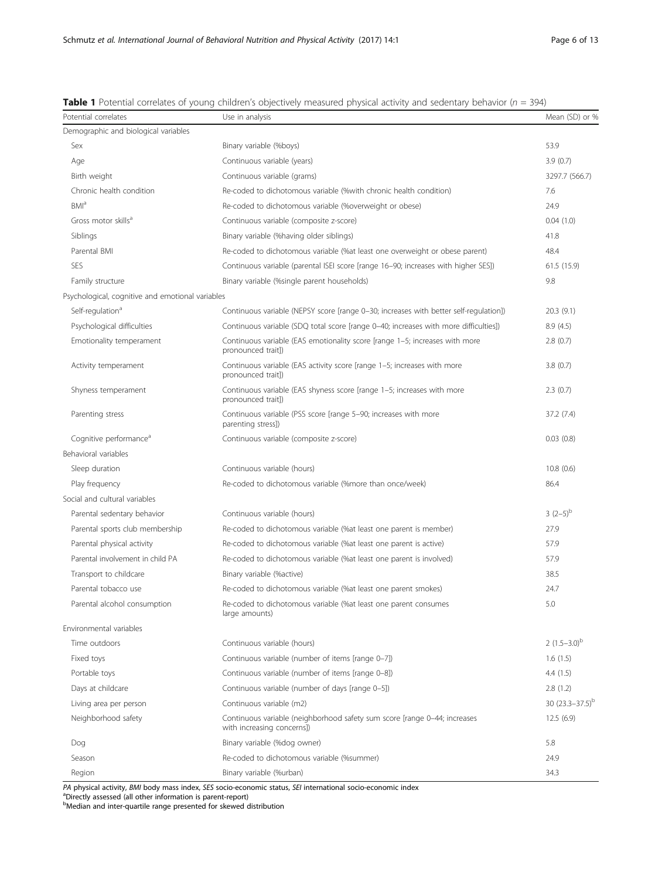| Potential correlates                             | Use in analysis                                                                                         | Mean (SD) or %         |
|--------------------------------------------------|---------------------------------------------------------------------------------------------------------|------------------------|
| Demographic and biological variables             |                                                                                                         |                        |
| Sex                                              | Binary variable (%boys)                                                                                 | 53.9                   |
| Age                                              | Continuous variable (years)                                                                             | 3.9(0.7)               |
| Birth weight                                     | Continuous variable (grams)                                                                             | 3297.7 (566.7)         |
| Chronic health condition                         | Re-coded to dichotomous variable (%with chronic health condition)                                       | 7.6                    |
| BMI <sup>a</sup>                                 | Re-coded to dichotomous variable (%overweight or obese)                                                 | 24.9                   |
| Gross motor skills <sup>a</sup>                  | Continuous variable (composite z-score)                                                                 | 0.04(1.0)              |
| Siblings                                         | Binary variable (%having older siblings)                                                                | 41.8                   |
| Parental BMI                                     | Re-coded to dichotomous variable (% at least one overweight or obese parent)                            | 48.4                   |
| SES                                              | Continuous variable (parental ISEI score [range 16-90; increases with higher SES])                      | 61.5 (15.9)            |
| Family structure                                 | Binary variable (%single parent households)                                                             | 9.8                    |
| Psychological, cognitive and emotional variables |                                                                                                         |                        |
| Self-regulation <sup>a</sup>                     | Continuous variable (NEPSY score [range 0-30; increases with better self-regulation])                   | 20.3(9.1)              |
| Psychological difficulties                       | Continuous variable (SDQ total score [range 0-40; increases with more difficulties])                    | 8.9(4.5)               |
| Emotionality temperament                         | Continuous variable (EAS emotionality score [range 1-5; increases with more<br>pronounced trait])       | 2.8(0.7)               |
| Activity temperament                             | Continuous variable (EAS activity score [range 1-5; increases with more<br>pronounced trait])           | 3.8(0.7)               |
| Shyness temperament                              | Continuous variable (EAS shyness score [range 1-5; increases with more<br>pronounced trait])            | 2.3(0.7)               |
| Parenting stress                                 | Continuous variable (PSS score [range 5-90; increases with more<br>parenting stress])                   | 37.2 (7.4)             |
| Cognitive performance <sup>a</sup>               | Continuous variable (composite z-score)                                                                 | 0.03(0.8)              |
| Behavioral variables                             |                                                                                                         |                        |
| Sleep duration                                   | Continuous variable (hours)                                                                             | 10.8(0.6)              |
| Play frequency                                   | Re-coded to dichotomous variable (%more than once/week)                                                 | 86.4                   |
| Social and cultural variables                    |                                                                                                         |                        |
| Parental sedentary behavior                      | Continuous variable (hours)                                                                             | $3(2-5)^{b}$           |
| Parental sports club membership                  | Re-coded to dichotomous variable (% at least one parent is member)                                      | 27.9                   |
| Parental physical activity                       | Re-coded to dichotomous variable (% at least one parent is active)                                      | 57.9                   |
| Parental involvement in child PA                 | Re-coded to dichotomous variable (% at least one parent is involved)                                    | 57.9                   |
| Transport to childcare                           | Binary variable (% active)                                                                              | 38.5                   |
| Parental tobacco use                             | Re-coded to dichotomous variable (% at least one parent smokes)                                         | 24.7                   |
| Parental alcohol consumption                     | Re-coded to dichotomous variable (% at least one parent consumes<br>large amounts)                      | 5.0                    |
| Environmental variables                          |                                                                                                         |                        |
| Time outdoors                                    | Continuous variable (hours)                                                                             | 2 $(1.5-3.0)^{b}$      |
| Fixed toys                                       | Continuous variable (number of items [range 0-7])                                                       | 1.6(1.5)               |
| Portable toys                                    | Continuous variable (number of items [range 0-8])                                                       | 4.4(1.5)               |
| Days at childcare                                | Continuous variable (number of days [range 0-5])                                                        | 2.8(1.2)               |
| Living area per person                           | Continuous variable (m2)                                                                                | 30 $(23.3 - 37.5)^{b}$ |
| Neighborhood safety                              | Continuous variable (neighborhood safety sum score [range 0-44; increases<br>with increasing concerns]) | 12.5(6.9)              |
| Dog                                              | Binary variable (%dog owner)                                                                            | 5.8                    |
| Season                                           | Re-coded to dichotomous variable (%summer)                                                              | 24.9                   |
| Region                                           | Binary variable (%urban)                                                                                | 34.3                   |

<span id="page-5-0"></span>**Table 1** Potential correlates of young children's objectively measured physical activity and sedentary behavior ( $n = 394$ )

PA physical activity, BMI body mass index, SES socio-economic status, SEI international socio-economic index

Directly assessed (all other information is parent-report)

<sup>b</sup>Median and inter-quartile range presented for skewed distribution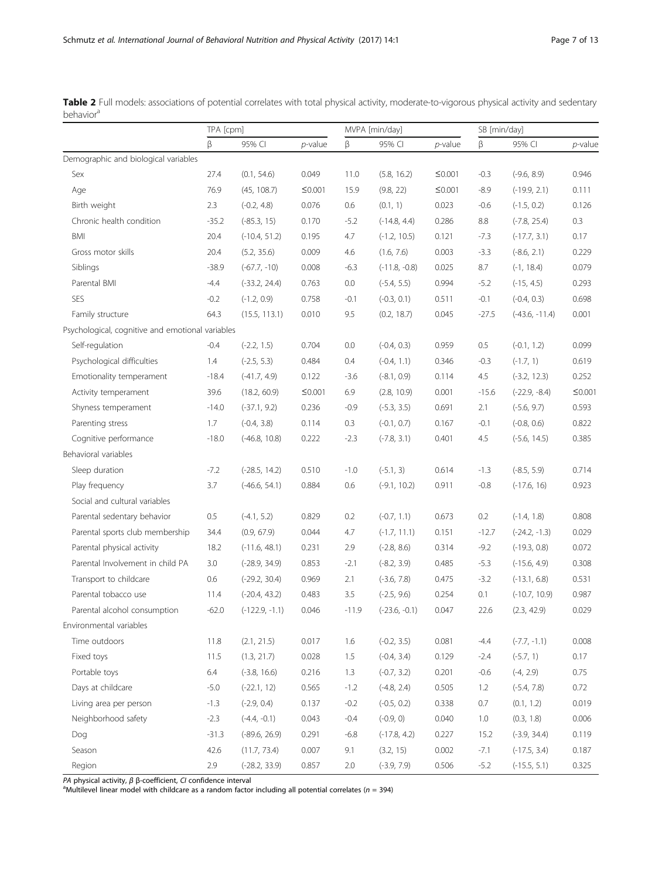<span id="page-6-0"></span>Table 2 Full models: associations of potential correlates with total physical activity, moderate-to-vigorous physical activity and sedentary behavior<sup>a</sup>

|                                                  |         | TPA [cpm]        |            |         | MVPA [min/day]  |            |         | SB [min/day]     |            |  |
|--------------------------------------------------|---------|------------------|------------|---------|-----------------|------------|---------|------------------|------------|--|
|                                                  | β       | 95% CI           | $p$ -value | β       | 95% CI          | $p$ -value | β       | 95% CI           | $p$ -value |  |
| Demographic and biological variables             |         |                  |            |         |                 |            |         |                  |            |  |
| Sex                                              | 27.4    | (0.1, 54.6)      | 0.049      | 11.0    | (5.8, 16.2)     | ≤0.001     | $-0.3$  | $(-9.6, 8.9)$    | 0.946      |  |
| Age                                              | 76.9    | (45, 108.7)      | $≤0.001$   | 15.9    | (9.8, 22)       | ≤0.001     | $-8.9$  | $(-19.9, 2.1)$   | 0.111      |  |
| Birth weight                                     | 2.3     | $(-0.2, 4.8)$    | 0.076      | 0.6     | (0.1, 1)        | 0.023      | $-0.6$  | $(-1.5, 0.2)$    | 0.126      |  |
| Chronic health condition                         | $-35.2$ | $(-85.3, 15)$    | 0.170      | $-5.2$  | $(-14.8, 4.4)$  | 0.286      | 8.8     | $(-7.8, 25.4)$   | 0.3        |  |
| <b>BMI</b>                                       | 20.4    | $(-10.4, 51.2)$  | 0.195      | 4.7     | $(-1.2, 10.5)$  | 0.121      | $-7.3$  | $(-17.7, 3.1)$   | 0.17       |  |
| Gross motor skills                               | 20.4    | (5.2, 35.6)      | 0.009      | 4.6     | (1.6, 7.6)      | 0.003      | $-3.3$  | $(-8.6, 2.1)$    | 0.229      |  |
| Siblings                                         | $-38.9$ | $(-67.7, -10)$   | 0.008      | $-6.3$  | $(-11.8, -0.8)$ | 0.025      | 8.7     | $(-1, 18.4)$     | 0.079      |  |
| Parental BMI                                     | $-4.4$  | $(-33.2, 24.4)$  | 0.763      | 0.0     | $(-5.4, 5.5)$   | 0.994      | $-5.2$  | $(-15, 4.5)$     | 0.293      |  |
| SES                                              | $-0.2$  | $(-1.2, 0.9)$    | 0.758      | $-0.1$  | $(-0.3, 0.1)$   | 0.511      | $-0.1$  | $(-0.4, 0.3)$    | 0.698      |  |
| Family structure                                 | 64.3    | (15.5, 113.1)    | 0.010      | 9.5     | (0.2, 18.7)     | 0.045      | $-27.5$ | $(-43.6, -11.4)$ | 0.001      |  |
| Psychological, cognitive and emotional variables |         |                  |            |         |                 |            |         |                  |            |  |
| Self-regulation                                  | $-0.4$  | $(-2.2, 1.5)$    | 0.704      | $0.0\,$ | $(-0.4, 0.3)$   | 0.959      | 0.5     | $(-0.1, 1.2)$    | 0.099      |  |
| Psychological difficulties                       | 1.4     | $(-2.5, 5.3)$    | 0.484      | 0.4     | $(-0.4, 1.1)$   | 0.346      | $-0.3$  | $(-1.7, 1)$      | 0.619      |  |
| Emotionality temperament                         | $-18.4$ | $(-41.7, 4.9)$   | 0.122      | $-3.6$  | $(-8.1, 0.9)$   | 0.114      | 4.5     | $(-3.2, 12.3)$   | 0.252      |  |
| Activity temperament                             | 39.6    | (18.2, 60.9)     | $≤0.001$   | 6.9     | (2.8, 10.9)     | 0.001      | $-15.6$ | $(-22.9, -8.4)$  | $≤0.001$   |  |
| Shyness temperament                              | $-14.0$ | $(-37.1, 9.2)$   | 0.236      | $-0.9$  | $(-5.3, 3.5)$   | 0.691      | 2.1     | $(-5.6, 9.7)$    | 0.593      |  |
| Parenting stress                                 | 1.7     | $(-0.4, 3.8)$    | 0.114      | 0.3     | $(-0.1, 0.7)$   | 0.167      | $-0.1$  | $(-0.8, 0.6)$    | 0.822      |  |
| Cognitive performance                            | $-18.0$ | $(-46.8, 10.8)$  | 0.222      | $-2.3$  | $(-7.8, 3.1)$   | 0.401      | 4.5     | $(-5.6, 14.5)$   | 0.385      |  |
| Behavioral variables                             |         |                  |            |         |                 |            |         |                  |            |  |
| Sleep duration                                   | $-7.2$  | $(-28.5, 14.2)$  | 0.510      | $-1.0$  | $(-5.1, 3)$     | 0.614      | $-1.3$  | $(-8.5, 5.9)$    | 0.714      |  |
| Play frequency                                   | 3.7     | $(-46.6, 54.1)$  | 0.884      | 0.6     | $(-9.1, 10.2)$  | 0.911      | $-0.8$  | $(-17.6, 16)$    | 0.923      |  |
| Social and cultural variables                    |         |                  |            |         |                 |            |         |                  |            |  |
| Parental sedentary behavior                      | 0.5     | $(-4.1, 5.2)$    | 0.829      | 0.2     | $(-0.7, 1.1)$   | 0.673      | 0.2     | $(-1.4, 1.8)$    | 0.808      |  |
| Parental sports club membership                  | 34.4    | (0.9, 67.9)      | 0.044      | 4.7     | $(-1.7, 11.1)$  | 0.151      | $-12.7$ | $(-24.2, -1.3)$  | 0.029      |  |
| Parental physical activity                       | 18.2    | $(-11.6, 48.1)$  | 0.231      | 2.9     | $(-2.8, 8.6)$   | 0.314      | $-9.2$  | $(-19.3, 0.8)$   | 0.072      |  |
| Parental Involvement in child PA                 | 3.0     | $(-28.9, 34.9)$  | 0.853      | $-2.1$  | $(-8.2, 3.9)$   | 0.485      | $-5.3$  | $(-15.6, 4.9)$   | 0.308      |  |
| Transport to childcare                           | 0.6     | $(-29.2, 30.4)$  | 0.969      | 2.1     | $(-3.6, 7.8)$   | 0.475      | $-3.2$  | $(-13.1, 6.8)$   | 0.531      |  |
| Parental tobacco use                             | 11.4    | $(-20.4, 43.2)$  | 0.483      | 3.5     | $(-2.5, 9.6)$   | 0.254      | 0.1     | $(-10.7, 10.9)$  | 0.987      |  |
| Parental alcohol consumption                     | $-62.0$ | $(-122.9, -1.1)$ | 0.046      | $-11.9$ | $(-23.6, -0.1)$ | 0.047      | 22.6    | (2.3, 42.9)      | 0.029      |  |
| Environmental variables                          |         |                  |            |         |                 |            |         |                  |            |  |
| Time outdoors                                    | 11.8    | (2.1, 21.5)      | 0.017      | 1.6     | $(-0.2, 3.5)$   | 0.081      | $-4.4$  | $(-7.7, -1.1)$   | 0.008      |  |
| Fixed toys                                       | 11.5    | (1.3, 21.7)      | 0.028      | 1.5     | $(-0.4, 3.4)$   | 0.129      | $-2.4$  | $(-5.7, 1)$      | 0.17       |  |
| Portable toys                                    | $6.4\,$ | $(-3.8, 16.6)$   | 0.216      | 1.3     | $(-0.7, 3.2)$   | 0.201      | $-0.6$  | $(-4, 2.9)$      | 0.75       |  |
| Days at childcare                                | $-5.0$  | $(-22.1, 12)$    | 0.565      | $-1.2$  | $(-4.8, 2.4)$   | 0.505      | 1.2     | $(-5.4, 7.8)$    | 0.72       |  |
| Living area per person                           | $-1.3$  | $(-2.9, 0.4)$    | 0.137      | $-0.2$  | $(-0.5, 0.2)$   | 0.338      | 0.7     | (0.1, 1.2)       | 0.019      |  |
| Neighborhood safety                              | $-2.3$  | $(-4.4, -0.1)$   | 0.043      | $-0.4$  | $(-0.9, 0)$     | 0.040      | 1.0     | (0.3, 1.8)       | 0.006      |  |
| Dog                                              | $-31.3$ | $(-89.6, 26.9)$  | 0.291      | $-6.8$  | $(-17.8, 4.2)$  | 0.227      | 15.2    | $(-3.9, 34.4)$   | 0.119      |  |
| Season                                           | 42.6    | (11.7, 73.4)     | 0.007      | 9.1     | (3.2, 15)       | 0.002      | $-7.1$  | $(-17.5, 3.4)$   | 0.187      |  |
| Region                                           | 2.9     | $(-28.2, 33.9)$  | 0.857      | 2.0     | $(-3.9, 7.9)$   | 0.506      | $-5.2$  | $(-15.5, 5.1)$   | 0.325      |  |

PA physical activity, β β-coefficient, CI confidence interval<br><sup>a</sup>Multilevel linear model with childcare as a random factor including all potential correlates (*n* = 394)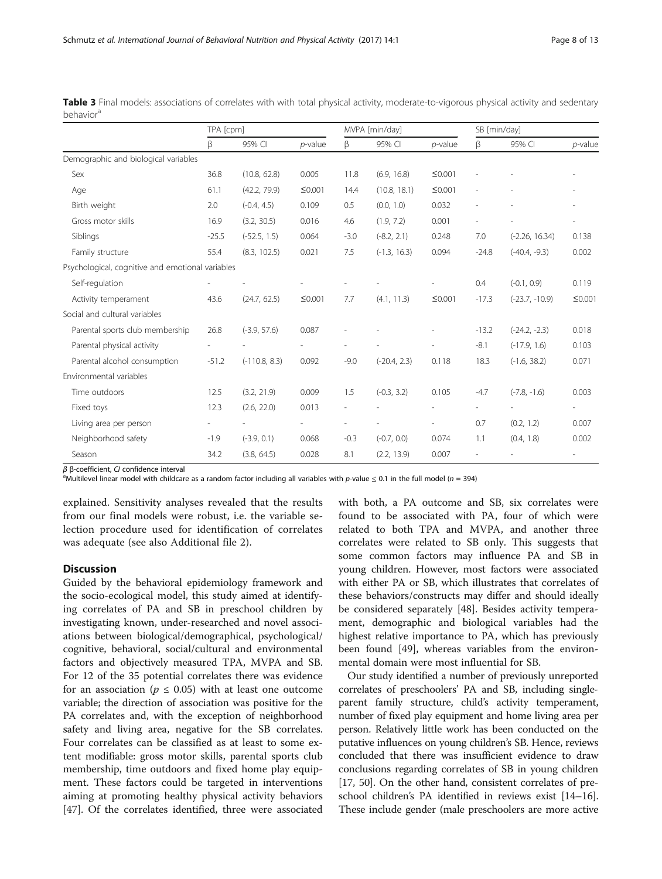|                                                  | TPA [cpm] |                 |            | MVPA [min/day] |                |                | SB [min/day] |                  |                          |
|--------------------------------------------------|-----------|-----------------|------------|----------------|----------------|----------------|--------------|------------------|--------------------------|
|                                                  | β         | 95% CI          | $p$ -value | β              | 95% CI         | $p$ -value     | β            | 95% CI           | $p$ -value               |
| Demographic and biological variables             |           |                 |            |                |                |                |              |                  |                          |
| Sex                                              | 36.8      | (10.8, 62.8)    | 0.005      | 11.8           | (6.9, 16.8)    | $≤0.001$       |              |                  |                          |
| Age                                              | 61.1      | (42.2, 79.9)    | $≤0.001$   | 14.4           | (10.8, 18.1)   | $≤0.001$       |              |                  |                          |
| Birth weight                                     | 2.0       | $(-0.4, 4.5)$   | 0.109      | 0.5            | (0.0, 1.0)     | 0.032          |              |                  | $\overline{\phantom{a}}$ |
| Gross motor skills                               | 16.9      | (3.2, 30.5)     | 0.016      | 4.6            | (1.9, 7.2)     | 0.001          |              |                  | $\overline{\phantom{a}}$ |
| Siblings                                         | $-25.5$   | $(-52.5, 1.5)$  | 0.064      | $-3.0$         | $(-8.2, 2.1)$  | 0.248          | 7.0          | $(-2.26, 16.34)$ | 0.138                    |
| Family structure                                 | 55.4      | (8.3, 102.5)    | 0.021      | 7.5            | $(-1.3, 16.3)$ | 0.094          | $-24.8$      | $(-40.4, -9.3)$  | 0.002                    |
| Psychological, cognitive and emotional variables |           |                 |            |                |                |                |              |                  |                          |
| Self-regulation                                  |           |                 |            |                |                |                | 0.4          | $(-0.1, 0.9)$    | 0.119                    |
| Activity temperament                             | 43.6      | (24.7, 62.5)    | $≤0.001$   | 7.7            | (4.1, 11.3)    | $≤0.001$       | $-17.3$      | $(-23.7, -10.9)$ | ≤0.001                   |
| Social and cultural variables                    |           |                 |            |                |                |                |              |                  |                          |
| Parental sports club membership                  | 26.8      | $(-3.9, 57.6)$  | 0.087      |                |                |                | $-13.2$      | $(-24.2, -2.3)$  | 0.018                    |
| Parental physical activity                       |           |                 |            |                |                |                | $-8.1$       | $(-17.9, 1.6)$   | 0.103                    |
| Parental alcohol consumption                     | $-51.2$   | $(-110.8, 8.3)$ | 0.092      | $-9.0$         | $(-20.4, 2.3)$ | 0.118          | 18.3         | $(-1.6, 38.2)$   | 0.071                    |
| Environmental variables                          |           |                 |            |                |                |                |              |                  |                          |
| Time outdoors                                    | 12.5      | (3.2, 21.9)     | 0.009      | 1.5            | $(-0.3, 3.2)$  | 0.105          | $-4.7$       | $(-7.8, -1.6)$   | 0.003                    |
| Fixed toys                                       | 12.3      | (2.6, 22.0)     | 0.013      |                |                |                |              |                  | $\overline{\phantom{a}}$ |
| Living area per person                           |           |                 |            |                |                | $\overline{a}$ | 0.7          | (0.2, 1.2)       | 0.007                    |
| Neighborhood safety                              | $-1.9$    | $(-3.9, 0.1)$   | 0.068      | $-0.3$         | $(-0.7, 0.0)$  | 0.074          | 1.1          | (0.4, 1.8)       | 0.002                    |
| Season                                           | 34.2      | (3.8, 64.5)     | 0.028      | 8.1            | (2.2, 13.9)    | 0.007          |              |                  |                          |

<span id="page-7-0"></span>Table 3 Final models: associations of correlates with with total physical activity, moderate-to-vigorous physical activity and sedentary behavior<sup>a</sup>

 $β$  β-coefficient, CI confidence interval

Multilevel linear model with childcare as a random factor including all variables with p-value  $\leq 0.1$  in the full model (n = 394)

explained. Sensitivity analyses revealed that the results from our final models were robust, i.e. the variable selection procedure used for identification of correlates was adequate (see also Additional file [2](#page-10-0)).

# **Discussion**

Guided by the behavioral epidemiology framework and the socio-ecological model, this study aimed at identifying correlates of PA and SB in preschool children by investigating known, under-researched and novel associations between biological/demographical, psychological/ cognitive, behavioral, social/cultural and environmental factors and objectively measured TPA, MVPA and SB. For 12 of the 35 potential correlates there was evidence for an association ( $p \leq 0.05$ ) with at least one outcome variable; the direction of association was positive for the PA correlates and, with the exception of neighborhood safety and living area, negative for the SB correlates. Four correlates can be classified as at least to some extent modifiable: gross motor skills, parental sports club membership, time outdoors and fixed home play equipment. These factors could be targeted in interventions aiming at promoting healthy physical activity behaviors [[47\]](#page-11-0). Of the correlates identified, three were associated with both, a PA outcome and SB, six correlates were found to be associated with PA, four of which were related to both TPA and MVPA, and another three correlates were related to SB only. This suggests that some common factors may influence PA and SB in young children. However, most factors were associated with either PA or SB, which illustrates that correlates of these behaviors/constructs may differ and should ideally be considered separately [[48\]](#page-11-0). Besides activity temperament, demographic and biological variables had the highest relative importance to PA, which has previously been found [[49](#page-11-0)], whereas variables from the environmental domain were most influential for SB.

Our study identified a number of previously unreported correlates of preschoolers' PA and SB, including singleparent family structure, child's activity temperament, number of fixed play equipment and home living area per person. Relatively little work has been conducted on the putative influences on young children's SB. Hence, reviews concluded that there was insufficient evidence to draw conclusions regarding correlates of SB in young children [[17](#page-11-0), [50\]](#page-11-0). On the other hand, consistent correlates of preschool children's PA identified in reviews exist [\[14](#page-11-0)–[16](#page-11-0)]. These include gender (male preschoolers are more active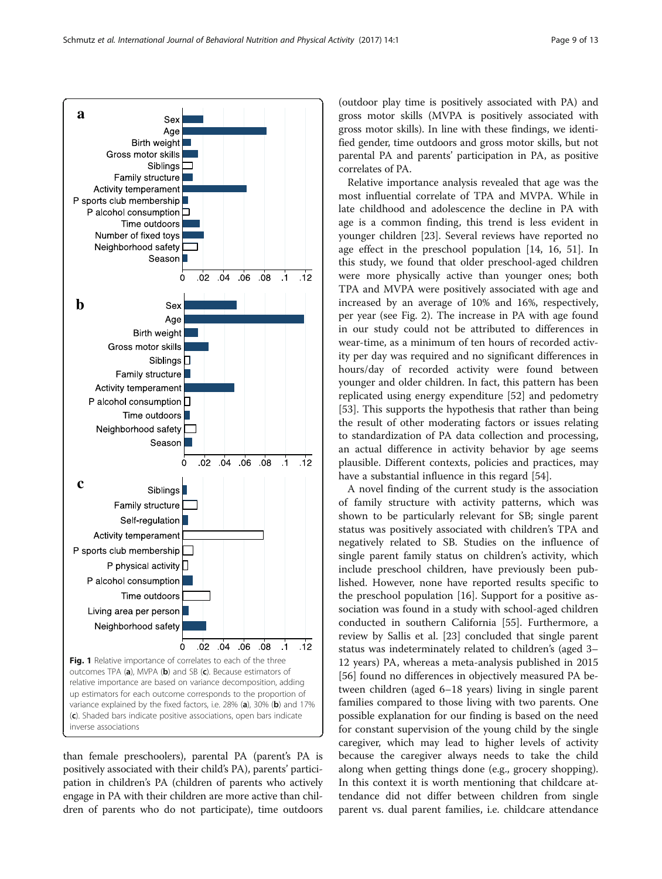<span id="page-8-0"></span>

than female preschoolers), parental PA (parent's PA is positively associated with their child's PA), parents' participation in children's PA (children of parents who actively engage in PA with their children are more active than children of parents who do not participate), time outdoors

(outdoor play time is positively associated with PA) and gross motor skills (MVPA is positively associated with gross motor skills). In line with these findings, we identified gender, time outdoors and gross motor skills, but not parental PA and parents' participation in PA, as positive correlates of PA.

Relative importance analysis revealed that age was the most influential correlate of TPA and MVPA. While in late childhood and adolescence the decline in PA with age is a common finding, this trend is less evident in younger children [[23\]](#page-11-0). Several reviews have reported no age effect in the preschool population [[14](#page-11-0), [16](#page-11-0), [51\]](#page-11-0). In this study, we found that older preschool-aged children were more physically active than younger ones; both TPA and MVPA were positively associated with age and increased by an average of 10% and 16%, respectively, per year (see Fig. [2](#page-9-0)). The increase in PA with age found in our study could not be attributed to differences in wear-time, as a minimum of ten hours of recorded activity per day was required and no significant differences in hours/day of recorded activity were found between younger and older children. In fact, this pattern has been replicated using energy expenditure [[52](#page-11-0)] and pedometry [[53\]](#page-11-0). This supports the hypothesis that rather than being the result of other moderating factors or issues relating to standardization of PA data collection and processing, an actual difference in activity behavior by age seems plausible. Different contexts, policies and practices, may have a substantial influence in this regard [\[54](#page-12-0)].

A novel finding of the current study is the association of family structure with activity patterns, which was shown to be particularly relevant for SB; single parent status was positively associated with children's TPA and negatively related to SB. Studies on the influence of single parent family status on children's activity, which include preschool children, have previously been published. However, none have reported results specific to the preschool population [[16](#page-11-0)]. Support for a positive association was found in a study with school-aged children conducted in southern California [[55\]](#page-12-0). Furthermore, a review by Sallis et al. [[23](#page-11-0)] concluded that single parent status was indeterminately related to children's (aged 3– 12 years) PA, whereas a meta-analysis published in 2015 [[56\]](#page-12-0) found no differences in objectively measured PA between children (aged 6–18 years) living in single parent families compared to those living with two parents. One possible explanation for our finding is based on the need for constant supervision of the young child by the single caregiver, which may lead to higher levels of activity because the caregiver always needs to take the child along when getting things done (e.g., grocery shopping). In this context it is worth mentioning that childcare attendance did not differ between children from single parent vs. dual parent families, i.e. childcare attendance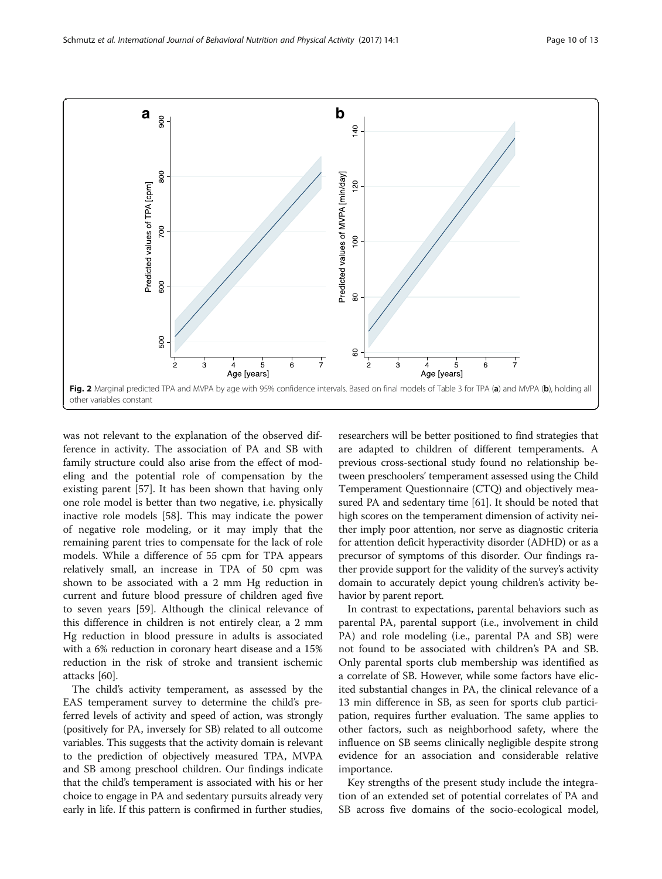<span id="page-9-0"></span>

was not relevant to the explanation of the observed difference in activity. The association of PA and SB with family structure could also arise from the effect of modeling and the potential role of compensation by the existing parent [[57](#page-12-0)]. It has been shown that having only one role model is better than two negative, i.e. physically inactive role models [[58\]](#page-12-0). This may indicate the power of negative role modeling, or it may imply that the remaining parent tries to compensate for the lack of role models. While a difference of 55 cpm for TPA appears relatively small, an increase in TPA of 50 cpm was shown to be associated with a 2 mm Hg reduction in current and future blood pressure of children aged five to seven years [\[59](#page-12-0)]. Although the clinical relevance of this difference in children is not entirely clear, a 2 mm Hg reduction in blood pressure in adults is associated with a 6% reduction in coronary heart disease and a 15% reduction in the risk of stroke and transient ischemic attacks [\[60\]](#page-12-0).

The child's activity temperament, as assessed by the EAS temperament survey to determine the child's preferred levels of activity and speed of action, was strongly (positively for PA, inversely for SB) related to all outcome variables. This suggests that the activity domain is relevant to the prediction of objectively measured TPA, MVPA and SB among preschool children. Our findings indicate that the child's temperament is associated with his or her choice to engage in PA and sedentary pursuits already very early in life. If this pattern is confirmed in further studies,

researchers will be better positioned to find strategies that are adapted to children of different temperaments. A previous cross-sectional study found no relationship between preschoolers' temperament assessed using the Child Temperament Questionnaire (CTQ) and objectively measured PA and sedentary time [\[61](#page-12-0)]. It should be noted that high scores on the temperament dimension of activity neither imply poor attention, nor serve as diagnostic criteria for attention deficit hyperactivity disorder (ADHD) or as a precursor of symptoms of this disorder. Our findings rather provide support for the validity of the survey's activity domain to accurately depict young children's activity behavior by parent report.

In contrast to expectations, parental behaviors such as parental PA, parental support (i.e., involvement in child PA) and role modeling (i.e., parental PA and SB) were not found to be associated with children's PA and SB. Only parental sports club membership was identified as a correlate of SB. However, while some factors have elicited substantial changes in PA, the clinical relevance of a 13 min difference in SB, as seen for sports club participation, requires further evaluation. The same applies to other factors, such as neighborhood safety, where the influence on SB seems clinically negligible despite strong evidence for an association and considerable relative importance.

Key strengths of the present study include the integration of an extended set of potential correlates of PA and SB across five domains of the socio-ecological model,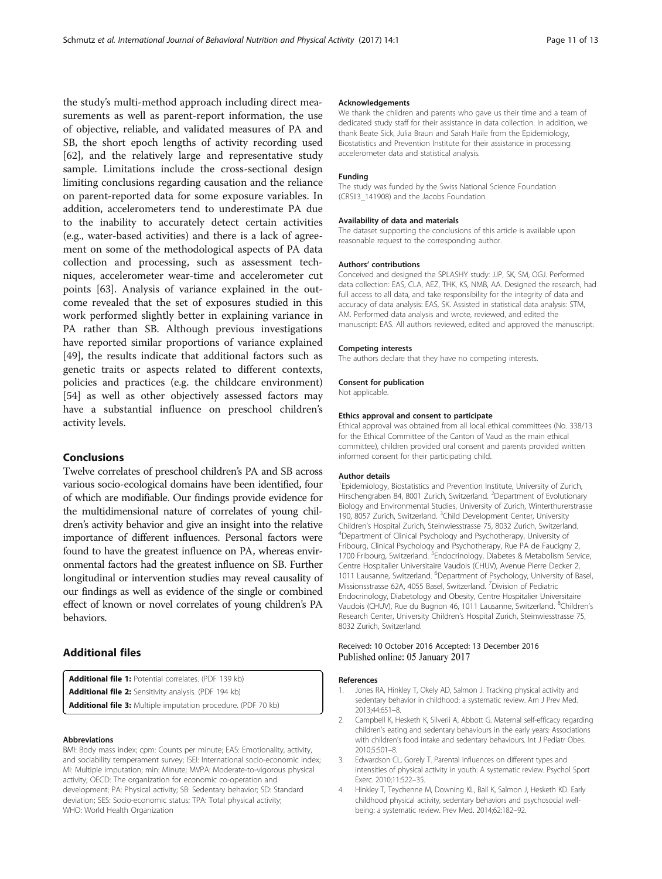<span id="page-10-0"></span>the study's multi-method approach including direct measurements as well as parent-report information, the use of objective, reliable, and validated measures of PA and SB, the short epoch lengths of activity recording used [[62\]](#page-12-0), and the relatively large and representative study sample. Limitations include the cross-sectional design limiting conclusions regarding causation and the reliance on parent-reported data for some exposure variables. In addition, accelerometers tend to underestimate PA due to the inability to accurately detect certain activities (e.g., water-based activities) and there is a lack of agreement on some of the methodological aspects of PA data collection and processing, such as assessment techniques, accelerometer wear-time and accelerometer cut points [[63\]](#page-12-0). Analysis of variance explained in the outcome revealed that the set of exposures studied in this work performed slightly better in explaining variance in PA rather than SB. Although previous investigations have reported similar proportions of variance explained [[49\]](#page-11-0), the results indicate that additional factors such as genetic traits or aspects related to different contexts, policies and practices (e.g. the childcare environment) [[54\]](#page-12-0) as well as other objectively assessed factors may have a substantial influence on preschool children's activity levels.

# Conclusions

Twelve correlates of preschool children's PA and SB across various socio-ecological domains have been identified, four of which are modifiable. Our findings provide evidence for the multidimensional nature of correlates of young children's activity behavior and give an insight into the relative importance of different influences. Personal factors were found to have the greatest influence on PA, whereas environmental factors had the greatest influence on SB. Further longitudinal or intervention studies may reveal causality of our findings as well as evidence of the single or combined effect of known or novel correlates of young children's PA behaviors.

# Additional files

[Additional file 1:](dx.doi.org/10.1186/s12966-016-0456-9) Potential correlates. (PDF 139 kb) [Additional file 2:](dx.doi.org/10.1186/s12966-016-0456-9) Sensitivity analysis. (PDF 194 kb) [Additional file 3:](dx.doi.org/10.1186/s12966-016-0456-9) Multiple imputation procedure. (PDF 70 kb)

## Abbreviations

BMI: Body mass index; cpm: Counts per minute; EAS: Emotionality, activity, and sociability temperament survey; ISEI: International socio-economic index; MI: Multiple imputation; min: Minute; MVPA: Moderate-to-vigorous physical activity; OECD: The organization for economic co-operation and development; PA: Physical activity; SB: Sedentary behavior; SD: Standard deviation; SES: Socio-economic status; TPA: Total physical activity; WHO: World Health Organization

## Acknowledgements

We thank the children and parents who gave us their time and a team of dedicated study staff for their assistance in data collection. In addition, we thank Beate Sick, Julia Braun and Sarah Haile from the Epidemiology, Biostatistics and Prevention Institute for their assistance in processing accelerometer data and statistical analysis.

## Funding

The study was funded by the Swiss National Science Foundation (CRSII3\_141908) and the Jacobs Foundation.

## Availability of data and materials

The dataset supporting the conclusions of this article is available upon reasonable request to the corresponding author.

#### Authors' contributions

Conceived and designed the SPLASHY study: JJP, SK, SM, OGJ. Performed data collection: EAS, CLA, AEZ, THK, KS, NMB, AA. Designed the research, had full access to all data, and take responsibility for the integrity of data and accuracy of data analysis: EAS, SK. Assisted in statistical data analysis: STM, AM. Performed data analysis and wrote, reviewed, and edited the manuscript: EAS. All authors reviewed, edited and approved the manuscript.

### Competing interests

The authors declare that they have no competing interests.

#### Consent for publication

Not applicable.

## Ethics approval and consent to participate

Ethical approval was obtained from all local ethical committees (No. 338/13 for the Ethical Committee of the Canton of Vaud as the main ethical committee), children provided oral consent and parents provided written informed consent for their participating child.

## Author details

<sup>1</sup> Epidemiology, Biostatistics and Prevention Institute, University of Zurich Hirschengraben 84, 8001 Zurich, Switzerland. <sup>2</sup>Department of Evolutionary Biology and Environmental Studies, University of Zurich, Winterthurerstrasse 190, 8057 Zurich, Switzerland. <sup>3</sup>Child Development Center, University Children's Hospital Zurich, Steinwiesstrasse 75, 8032 Zurich, Switzerland. <sup>4</sup> <sup>4</sup>Department of Clinical Psychology and Psychotherapy, University of Fribourg, Clinical Psychology and Psychotherapy, Rue PA de Faucigny 2, 1700 Fribourg, Switzerland. <sup>5</sup> Endocrinology, Diabetes & Metabolism Service, Centre Hospitalier Universitaire Vaudois (CHUV), Avenue Pierre Decker 2, 1011 Lausanne, Switzerland. <sup>6</sup>Department of Psychology, University of Basel Missionsstrasse 62A, 4055 Basel, Switzerland. <sup>7</sup> Division of Pediatric Endocrinology, Diabetology and Obesity, Centre Hospitalier Universitaire Vaudois (CHUV), Rue du Bugnon 46, 1011 Lausanne, Switzerland. <sup>8</sup>Children's Research Center, University Children's Hospital Zurich, Steinwiesstrasse 75, 8032 Zurich, Switzerland.

## Received: 10 October 2016 Accepted: 13 December 2016 Published online: 05 January 2017

## References

- 1. Jones RA, Hinkley T, Okely AD, Salmon J. Tracking physical activity and sedentary behavior in childhood: a systematic review. Am J Prev Med. 2013;44:651–8.
- 2. Campbell K, Hesketh K, Silverii A, Abbott G. Maternal self-efficacy regarding children's eating and sedentary behaviours in the early years: Associations with children's food intake and sedentary behaviours. Int J Pediatr Obes. 2010;5:501–8.
- 3. Edwardson CL, Gorely T. Parental influences on different types and intensities of physical activity in youth: A systematic review. Psychol Sport Exerc. 2010;11:522–35.
- 4. Hinkley T, Teychenne M, Downing KL, Ball K, Salmon J, Hesketh KD. Early childhood physical activity, sedentary behaviors and psychosocial wellbeing: a systematic review. Prev Med. 2014;62:182–92.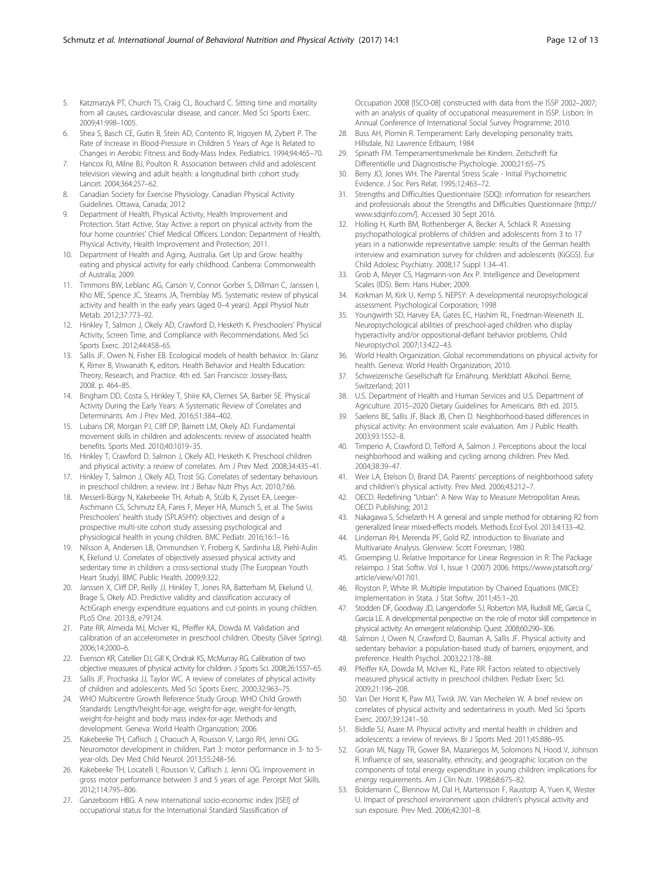- <span id="page-11-0"></span>5. Katzmarzyk PT, Church TS, Craig CL, Bouchard C. Sitting time and mortality from all causes, cardiovascular disease, and cancer. Med Sci Sports Exerc. 2009;41:998–1005.
- Shea S, Basch CE, Gutin B, Stein AD, Contento IR, Irigoyen M, Zybert P. The Rate of Increase in Blood-Pressure in Children 5 Years of Age Is Related to Changes in Aerobic Fitness and Body-Mass Index. Pediatrics. 1994;94:465–70.
- 7. Hancox RJ, Milne BJ, Poulton R. Association between child and adolescent television viewing and adult health: a longitudinal birth cohort study. Lancet. 2004;364:257–62.
- 8. Canadian Society for Exercise Physiology. Canadian Physical Activity Guidelines. Ottawa, Canada; 2012
- 9. Department of Health, Physical Activity, Health Improvement and Protection. Start Active, Stay Active: a report on physical activity from the four home countries' Chief Medical Officers. London: Department of Health, Physical Activity, Health Improvement and Protection; 2011.
- 10. Department of Health and Aging, Australia. Get Up and Grow: healthy eating and physical activity for early childhood. Canberra: Commonwealth of Australia; 2009.
- 11. Timmons BW, Leblanc AG, Carson V, Connor Gorber S, Dillman C, Janssen I, Kho ME, Spence JC, Stearns JA, Tremblay MS. Systematic review of physical activity and health in the early years (aged 0–4 years). Appl Physiol Nutr Metab. 2012;37:773–92.
- 12. Hinkley T, Salmon J, Okely AD, Crawford D, Hesketh K. Preschoolers' Physical Activity, Screen Time, and Compliance with Recommendations. Med Sci Sports Exerc. 2012;44:458–65.
- 13. Sallis JF, Owen N, Fisher EB. Ecological models of health behavior. In: Glanz K, Rimer B, Viswanath K, editors. Health Behavior and Health Education: Theory, Research, and Practice. 4th ed. San Francisco: Jossey-Bass; 2008. p. 464–85.
- 14. Bingham DD, Costa S, Hinkley T, Shire KA, Clemes SA, Barber SE. Physical Activity During the Early Years: A Systematic Review of Correlates and Determinants. Am J Prev Med. 2016;51:384–402.
- 15. Lubans DR, Morgan PJ, Cliff DP, Barnett LM, Okely AD. Fundamental movement skills in children and adolescents: review of associated health benefits. Sports Med. 2010;40:1019–35.
- 16. Hinkley T, Crawford D, Salmon J, Okely AD, Hesketh K. Preschool children and physical activity: a review of correlates. Am J Prev Med. 2008;34:435–41.
- 17. Hinkley T, Salmon J, Okely AD, Trost SG. Correlates of sedentary behaviours in preschool children: a review. Int J Behav Nutr Phys Act. 2010;7:66.
- 18. Messerli-Bürgy N, Kakebeeke TH, Arhab A, Stülb K, Zysset EA, Leeger-Aschmann CS, Schmutz EA, Fares F, Meyer HA, Munsch S, et al. The Swiss Preschoolers' health study (SPLASHY): objectives and design of a prospective multi-site cohort study assessing psychological and physiological health in young children. BMC Pediatr. 2016;16:1–16.
- 19. Nilsson A, Andersen LB, Ommundsen Y, Froberg K, Sardinha LB, Piehl-Aulin K, Ekelund U. Correlates of objectively assessed physical activity and sedentary time in children: a cross-sectional study (The European Youth Heart Study). BMC Public Health. 2009;9:322.
- 20. Janssen X, Cliff DP, Reilly JJ, Hinkley T, Jones RA, Batterham M, Ekelund U, Brage S, Okely AD. Predictive validity and classification accuracy of ActiGraph energy expenditure equations and cut-points in young children. PLoS One. 2013;8, e79124.
- 21. Pate RR, Almeida MJ, McIver KL, Pfeiffer KA, Dowda M. Validation and calibration of an accelerometer in preschool children. Obesity (Silver Spring). 2006;14:2000–6.
- 22. Evenson KR, Catellier DJ, Gill K, Ondrak KS, McMurray RG. Calibration of two objective measures of physical activity for children. J Sports Sci. 2008;26:1557–65.
- 23. Sallis JF, Prochaska JJ, Taylor WC. A review of correlates of physical activity of children and adolescents. Med Sci Sports Exerc. 2000;32:963–75.
- 24. WHO Multicentre Growth Reference Study Group. WHO Child Growth Standards: Length/height-for-age, weight-for-age, weight-for-length, weight-for-height and body mass index-for-age: Methods and development. Geneva: World Health Organization; 2006.
- 25. Kakebeeke TH, Caflisch J, Chaouch A, Rousson V, Largo RH, Jenni OG. Neuromotor development in children. Part 3: motor performance in 3- to 5 year-olds. Dev Med Child Neurol. 2013;55:248–56.
- 26. Kakebeeke TH, Locatelli I, Rousson V, Caflisch J, Jenni OG. Improvement in gross motor performance between 3 and 5 years of age. Percept Mot Skills. 2012;114:795–806.
- 27. Ganzeboom HBG. A new international socio-economic index [ISEI] of occupational status for the International Standard Slassification of

Occupation 2008 [ISCO-08] constructed with data from the ISSP 2002–2007; with an analysis of quality of occupational measurement in ISSP. Lisbon: In Annual Conference of International Social Survey Programme; 2010.

- 28. Buss AH, Plomin R. Temperament: Early developing personality traits. Hillsdale, NJ: Lawrence Erlbaum; 1984
- 29. Spinath FM. Temperamentsmerkmale bei Kindern. Zeitschrift für Differentielle und Diagnostische Psychologie. 2000;21:65–75.
- 30. Berry JO, Jones WH. The Parental Stress Scale Initial Psychometric Evidence. J Soc Pers Relat. 1995;12:463–72.
- 31. Strengths and Difficulties Questionnaire (SDQ): information for researchers and professionals about the Strengths and Difficulties Questionnaire [[http://](http://www.sdqinfo.com/) www.sdainfo.com/l. Accessed 30 Sept 2016.
- 32. Holling H, Kurth BM, Rothenberger A, Becker A, Schlack R. Assessing psychopathological problems of children and adolescents from 3 to 17 years in a nationwide representative sample: results of the German health interview and examination survey for children and adolescents (KiGGS). Eur Child Adolesc Psychiatry. 2008;17 Suppl 1:34–41.
- 33. Grob A, Meyer CS, Hagmann-von Arx P. Intelligence and Development Scales (IDS). Bern: Hans Huber; 2009.
- 34. Korkman M, Kirk U, Kemp S. NEPSY: A developmental neuropsychological assessment. Psychological Corporation; 1998
- 35. Youngwirth SD, Harvey EA, Gates EC, Hashim RL, Friedman-Weieneth JL. Neuropsychological abilities of preschool-aged children who display hyperactivity and/or oppositional-defiant behavior problems. Child Neuropsychol. 2007;13:422–43.
- 36. World Health Organization. Global recommendations on physical activity for health. Geneva: World Health Organization; 2010.
- 37. Schweizerische Gesellschaft für Ernährung. Merkblatt Alkohol. Berne, Switzerland; 2011
- 38. U.S. Department of Health and Human Services and U.S. Department of Agriculture. 2015–2020 Dietary Guidelines for Americans. 8th ed. 2015.
- 39. Saelens BE, Sallis JF, Black JB, Chen D. Neighborhood-based differences in physical activity: An environment scale evaluation. Am J Public Health. 2003;93:1552–8.
- 40. Timperio A, Crawford D, Telford A, Salmon J. Perceptions about the local neighborhood and walking and cycling among children. Prev Med. 2004;38:39–47.
- 41. Weir LA, Etelson D, Brand DA. Parents' perceptions of neighborhood safety and children's physical activity. Prev Med. 2006;43:212–7.
- 42. OECD. Redefining "Urban": A New Way to Measure Metropolitan Areas. OECD Publishing; 2012
- 43. Nakagawa S, Schielzeth H. A general and simple method for obtaining R2 from generalized linear mixed-effects models. Methods Ecol Evol. 2013;4:133–42.
- 44. Lindeman RH, Merenda PF, Gold RZ. Introduction to Bivariate and Multivariate Analysis. Glenview: Scott Foresman; 1980.
- 45. Groemping U. Relative Importance for Linear Regression in R: The Package relaimpo. J Stat Softw. Vol 1, Issue 1 (2007) 2006. [https://www.jstatsoft.org/](https://www.jstatsoft.org/article/view/v017i01) [article/view/v017i01](https://www.jstatsoft.org/article/view/v017i01).
- 46. Royston P, White IR. Multiple Imputation by Chained Equations (MICE): Implementation in Stata. J Stat Softw. 2011;45:1–20.
- 47. Stodden DF, Goodway JD, Langendorfer SJ, Roberton MA, Rudisill ME, Garcia C, Garcia LE. A developmental perspective on the role of motor skill competence in physical activity: An emergent relationship. Quest. 2008;60:290–306.
- Salmon J, Owen N, Crawford D, Bauman A, Sallis JF. Physical activity and sedentary behavior: a population-based study of barriers, enjoyment, and preference. Health Psychol. 2003;22:178–88.
- 49. Pfeiffer KA, Dowda M, McIver KL, Pate RR. Factors related to objectively measured physical activity in preschool children. Pediatr Exerc Sci. 2009;21:196–208.
- 50. Van Der Horst K, Paw MJ, Twisk JW, Van Mechelen W. A brief review on correlates of physical activity and sedentariness in youth. Med Sci Sports Exerc. 2007;39:1241–50.
- 51. Biddle SJ, Asare M. Physical activity and mental health in children and adolescents: a review of reviews. Br J Sports Med. 2011;45:886–95.
- 52. Goran MI, Nagy TR, Gower BA, Mazariegos M, Solomons N, Hood V, Johnson R. Influence of sex, seasonality, ethnicity, and geographic location on the components of total energy expenditure in young children: implications for energy requirements. Am J Clin Nutr. 1998;68:675–82.
- 53. Boldemann C, Blennow M, Dal H, Martensson F, Raustorp A, Yuen K, Wester U. Impact of preschool environment upon children's physical activity and sun exposure. Prev Med. 2006;42:301–8.